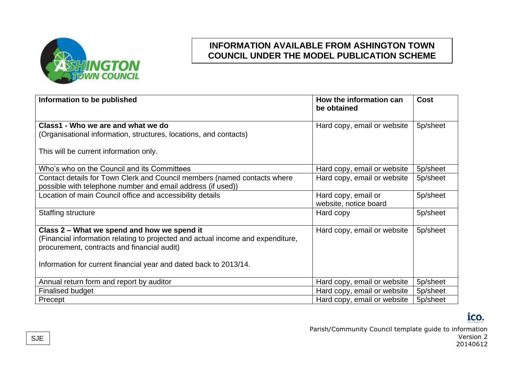

| Information to be published                                                     | How the information can<br>be obtained | <b>Cost</b> |
|---------------------------------------------------------------------------------|----------------------------------------|-------------|
| Class1 - Who we are and what we do                                              | Hard copy, email or website            | 5p/sheet    |
| (Organisational information, structures, locations, and contacts)               |                                        |             |
| This will be current information only.                                          |                                        |             |
| Who's who on the Council and its Committees                                     | Hard copy, email or website            | 5p/sheet    |
| Contact details for Town Clerk and Council members (named contacts where        | Hard copy, email or website            | 5p/sheet    |
| possible with telephone number and email address (if used))                     |                                        |             |
| Location of main Council office and accessibility details                       | Hard copy, email or                    | 5p/sheet    |
|                                                                                 | website, notice board                  |             |
| Staffing structure                                                              | Hard copy                              | 5p/sheet    |
| Class 2 – What we spend and how we spend it                                     | Hard copy, email or website            | 5p/sheet    |
| (Financial information relating to projected and actual income and expenditure, |                                        |             |
| procurement, contracts and financial audit)                                     |                                        |             |
| Information for current financial year and dated back to 2013/14.               |                                        |             |
|                                                                                 |                                        |             |
| Annual return form and report by auditor                                        | Hard copy, email or website            | 5p/sheet    |
| <b>Finalised budget</b>                                                         | Hard copy, email or website            | 5p/sheet    |
| Precept                                                                         | Hard copy, email or website            | 5p/sheet    |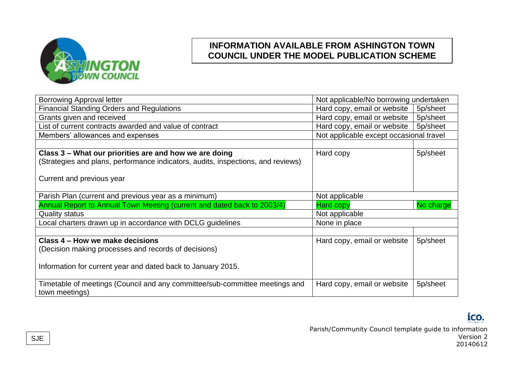

| <b>Borrowing Approval letter</b>                                                 | Not applicable/No borrowing undertaken  |           |
|----------------------------------------------------------------------------------|-----------------------------------------|-----------|
| <b>Financial Standing Orders and Regulations</b>                                 | Hard copy, email or website             | 5p/sheet  |
| Grants given and received                                                        | Hard copy, email or website             | 5p/sheet  |
| List of current contracts awarded and value of contract                          | Hard copy, email or website             | 5p/sheet  |
| Members' allowances and expenses                                                 | Not applicable except occasional travel |           |
|                                                                                  |                                         |           |
| Class 3 – What our priorities are and how we are doing                           | Hard copy                               | 5p/sheet  |
| (Strategies and plans, performance indicators, audits, inspections, and reviews) |                                         |           |
|                                                                                  |                                         |           |
| Current and previous year                                                        |                                         |           |
|                                                                                  |                                         |           |
| Parish Plan (current and previous year as a minimum)                             | Not applicable                          |           |
| Annual Report to Annual Town Meeting (current and dated back to 2003/4)          | <b>Hard copy</b>                        | No charge |
| <b>Quality status</b>                                                            | Not applicable                          |           |
| Local charters drawn up in accordance with DCLG guidelines                       | None in place                           |           |
|                                                                                  |                                         |           |
| Class 4 – How we make decisions                                                  | Hard copy, email or website             | 5p/sheet  |
| (Decision making processes and records of decisions)                             |                                         |           |
|                                                                                  |                                         |           |
| Information for current year and dated back to January 2015.                     |                                         |           |
|                                                                                  |                                         |           |
| Timetable of meetings (Council and any committee/sub-committee meetings and      | Hard copy, email or website             | 5p/sheet  |
| town meetings)                                                                   |                                         |           |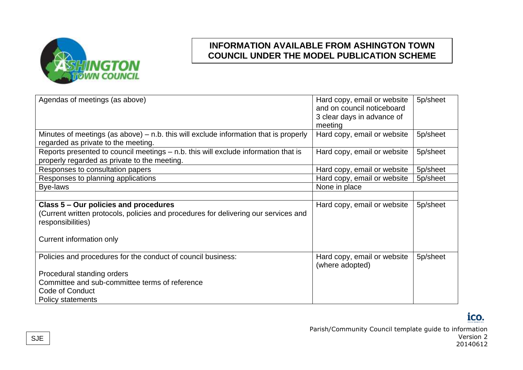

| Agendas of meetings (as above)                                                         | Hard copy, email or website | 5p/sheet |
|----------------------------------------------------------------------------------------|-----------------------------|----------|
|                                                                                        | and on council noticeboard  |          |
|                                                                                        | 3 clear days in advance of  |          |
|                                                                                        | meeting                     |          |
| Minutes of meetings (as above) $-$ n.b. this will exclude information that is properly | Hard copy, email or website | 5p/sheet |
| regarded as private to the meeting.                                                    |                             |          |
| Reports presented to council meetings - n.b. this will exclude information that is     | Hard copy, email or website | 5p/sheet |
| properly regarded as private to the meeting.                                           |                             |          |
| Responses to consultation papers                                                       | Hard copy, email or website | 5p/sheet |
| Responses to planning applications                                                     | Hard copy, email or website | 5p/sheet |
| Bye-laws                                                                               | None in place               |          |
|                                                                                        |                             |          |
| Class 5 – Our policies and procedures                                                  | Hard copy, email or website | 5p/sheet |
| (Current written protocols, policies and procedures for delivering our services and    |                             |          |
| responsibilities)                                                                      |                             |          |
|                                                                                        |                             |          |
| Current information only                                                               |                             |          |
|                                                                                        |                             |          |
| Policies and procedures for the conduct of council business:                           | Hard copy, email or website | 5p/sheet |
|                                                                                        | (where adopted)             |          |
| Procedural standing orders                                                             |                             |          |
| Committee and sub-committee terms of reference                                         |                             |          |
| Code of Conduct                                                                        |                             |          |
| <b>Policy statements</b>                                                               |                             |          |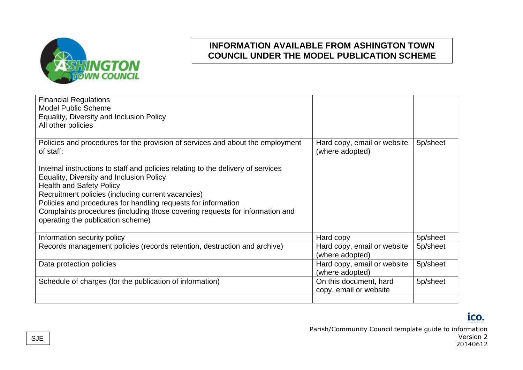

| <b>Financial Regulations</b><br><b>Model Public Scheme</b><br>Equality, Diversity and Inclusion Policy<br>All other policies                                                                                                                                                                                                                                                                                |                                                  |          |
|-------------------------------------------------------------------------------------------------------------------------------------------------------------------------------------------------------------------------------------------------------------------------------------------------------------------------------------------------------------------------------------------------------------|--------------------------------------------------|----------|
| Policies and procedures for the provision of services and about the employment<br>of staff:                                                                                                                                                                                                                                                                                                                 | Hard copy, email or website<br>(where adopted)   | 5p/sheet |
| Internal instructions to staff and policies relating to the delivery of services<br>Equality, Diversity and Inclusion Policy<br><b>Health and Safety Policy</b><br>Recruitment policies (including current vacancies)<br>Policies and procedures for handling requests for information<br>Complaints procedures (including those covering requests for information and<br>operating the publication scheme) |                                                  |          |
| Information security policy                                                                                                                                                                                                                                                                                                                                                                                 | Hard copy                                        | 5p/sheet |
| Records management policies (records retention, destruction and archive)                                                                                                                                                                                                                                                                                                                                    | Hard copy, email or website<br>(where adopted)   | 5p/sheet |
| Data protection policies                                                                                                                                                                                                                                                                                                                                                                                    | Hard copy, email or website<br>(where adopted)   | 5p/sheet |
| Schedule of charges (for the publication of information)                                                                                                                                                                                                                                                                                                                                                    | On this document, hard<br>copy, email or website | 5p/sheet |
|                                                                                                                                                                                                                                                                                                                                                                                                             |                                                  |          |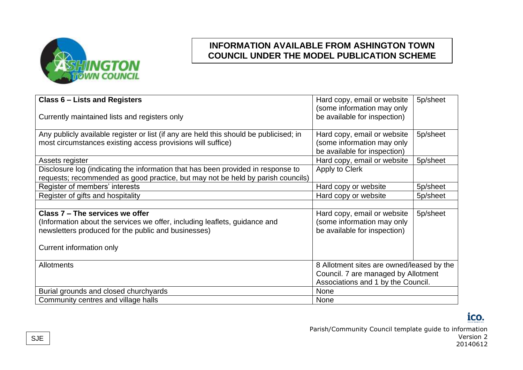

| <b>Class 6 - Lists and Registers</b>                                                                                                                                | Hard copy, email or website                                                               | 5p/sheet |
|---------------------------------------------------------------------------------------------------------------------------------------------------------------------|-------------------------------------------------------------------------------------------|----------|
| Currently maintained lists and registers only                                                                                                                       | (some information may only<br>be available for inspection)                                |          |
| Any publicly available register or list (if any are held this should be publicised; in<br>most circumstances existing access provisions will suffice)               | Hard copy, email or website<br>(some information may only<br>be available for inspection) | 5p/sheet |
| Assets register                                                                                                                                                     | Hard copy, email or website                                                               | 5p/sheet |
| Disclosure log (indicating the information that has been provided in response to<br>requests; recommended as good practice, but may not be held by parish councils) | Apply to Clerk                                                                            |          |
| Register of members' interests                                                                                                                                      | Hard copy or website                                                                      | 5p/sheet |
| Register of gifts and hospitality                                                                                                                                   | Hard copy or website                                                                      | 5p/sheet |
|                                                                                                                                                                     |                                                                                           |          |
| Class 7 – The services we offer                                                                                                                                     | Hard copy, email or website                                                               | 5p/sheet |
| (Information about the services we offer, including leaflets, guidance and                                                                                          | (some information may only                                                                |          |
| newsletters produced for the public and businesses)                                                                                                                 | be available for inspection)                                                              |          |
| Current information only                                                                                                                                            |                                                                                           |          |
| <b>Allotments</b>                                                                                                                                                   | 8 Allotment sites are owned/leased by the                                                 |          |
|                                                                                                                                                                     | Council. 7 are managed by Allotment                                                       |          |
|                                                                                                                                                                     | Associations and 1 by the Council.                                                        |          |
| Burial grounds and closed churchyards                                                                                                                               | None                                                                                      |          |
| Community centres and village halls                                                                                                                                 | None                                                                                      |          |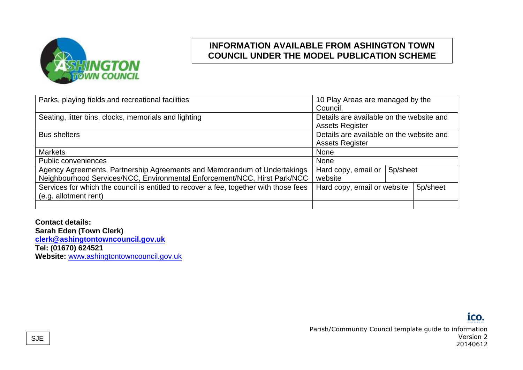

| Parks, playing fields and recreational facilities                                     | 10 Play Areas are managed by the         |  |
|---------------------------------------------------------------------------------------|------------------------------------------|--|
|                                                                                       | Council.                                 |  |
| Seating, litter bins, clocks, memorials and lighting                                  | Details are available on the website and |  |
|                                                                                       | <b>Assets Register</b>                   |  |
| <b>Bus shelters</b>                                                                   | Details are available on the website and |  |
|                                                                                       | <b>Assets Register</b>                   |  |
| <b>Markets</b>                                                                        | None                                     |  |
| <b>Public conveniences</b>                                                            | None                                     |  |
| Agency Agreements, Partnership Agreements and Memorandum of Undertakings              | 5p/sheet<br>Hard copy, email or          |  |
| Neighbourhood Services/NCC, Environmental Enforcement/NCC, Hirst Park/NCC             | website                                  |  |
| Services for which the council is entitled to recover a fee, together with those fees | 5p/sheet<br>Hard copy, email or website  |  |
| (e.g. allotment rent)                                                                 |                                          |  |
|                                                                                       |                                          |  |

**Contact details: Sarah Eden (Town Clerk) [clerk@ashingtontowncouncil.gov.uk](mailto:clerk@ashingtontowncouncil.gov.uk) Tel: (01670) 624521** Website: [www.ashingtontowncouncil.gov.uk](file:///C:/Users/RichardTimson/Dropbox%20(Ashington%20TC)/Ashington%20TC%20Team%20Folder/FULL%20COUNCIL/FULL%20COUNCIL%20MEETING%202022-23%20(Research)/www.ashingtontowncouncil.gov.uk)

### ico.

Parish/Community Council template guide to information Version 2 20140612